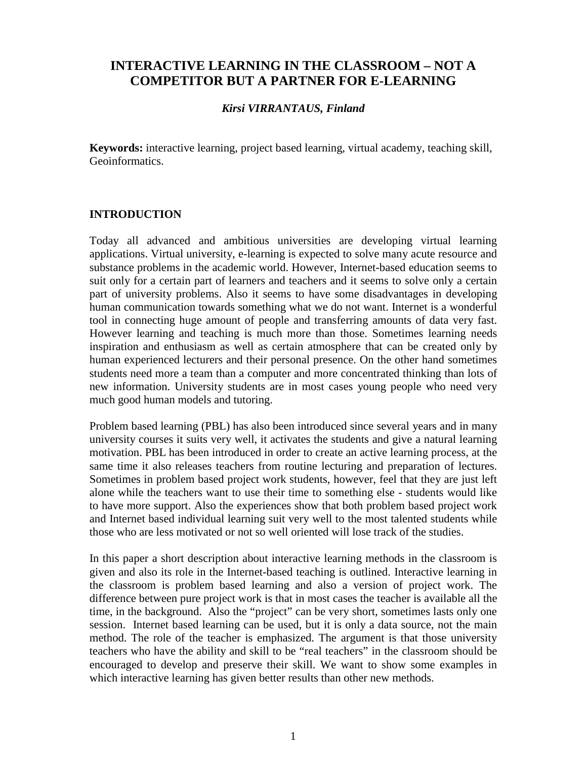# **INTERACTIVE LEARNING IN THE CLASSROOM – NOT A COMPETITOR BUT A PARTNER FOR E-LEARNING**

### *Kirsi VIRRANTAUS, Finland*

**Keywords:** interactive learning, project based learning, virtual academy, teaching skill, Geoinformatics.

### **INTRODUCTION**

Today all advanced and ambitious universities are developing virtual learning applications. Virtual university, e-learning is expected to solve many acute resource and substance problems in the academic world. However, Internet-based education seems to suit only for a certain part of learners and teachers and it seems to solve only a certain part of university problems. Also it seems to have some disadvantages in developing human communication towards something what we do not want. Internet is a wonderful tool in connecting huge amount of people and transferring amounts of data very fast. However learning and teaching is much more than those. Sometimes learning needs inspiration and enthusiasm as well as certain atmosphere that can be created only by human experienced lecturers and their personal presence. On the other hand sometimes students need more a team than a computer and more concentrated thinking than lots of new information. University students are in most cases young people who need very much good human models and tutoring.

Problem based learning (PBL) has also been introduced since several years and in many university courses it suits very well, it activates the students and give a natural learning motivation. PBL has been introduced in order to create an active learning process, at the same time it also releases teachers from routine lecturing and preparation of lectures. Sometimes in problem based project work students, however, feel that they are just left alone while the teachers want to use their time to something else - students would like to have more support. Also the experiences show that both problem based project work and Internet based individual learning suit very well to the most talented students while those who are less motivated or not so well oriented will lose track of the studies.

In this paper a short description about interactive learning methods in the classroom is given and also its role in the Internet-based teaching is outlined. Interactive learning in the classroom is problem based learning and also a version of project work. The difference between pure project work is that in most cases the teacher is available all the time, in the background. Also the "project" can be very short, sometimes lasts only one session. Internet based learning can be used, but it is only a data source, not the main method. The role of the teacher is emphasized. The argument is that those university teachers who have the ability and skill to be "real teachers" in the classroom should be encouraged to develop and preserve their skill. We want to show some examples in which interactive learning has given better results than other new methods.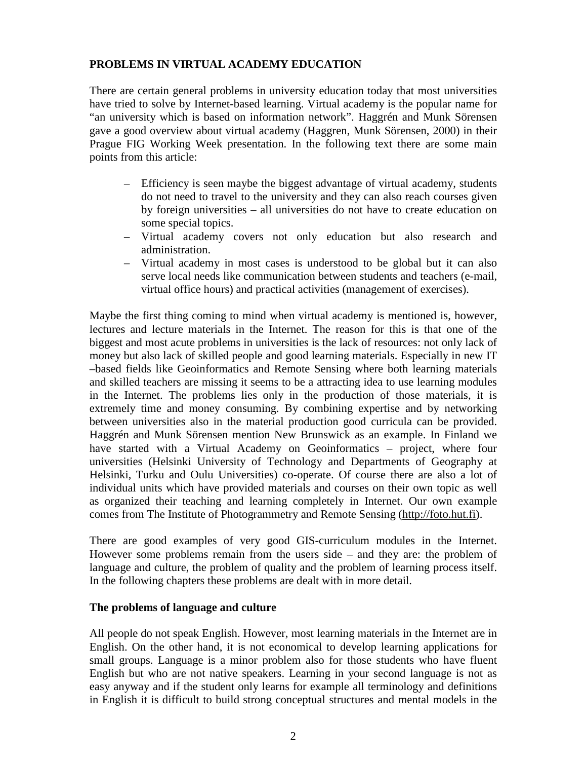# **PROBLEMS IN VIRTUAL ACADEMY EDUCATION**

There are certain general problems in university education today that most universities have tried to solve by Internet-based learning. Virtual academy is the popular name for "an university which is based on information network". Haggrén and Munk Sörensen gave a good overview about virtual academy (Haggren, Munk Sörensen, 2000) in their Prague FIG Working Week presentation. In the following text there are some main points from this article:

- Efficiency is seen maybe the biggest advantage of virtual academy, students do not need to travel to the university and they can also reach courses given by foreign universities – all universities do not have to create education on some special topics.
- Virtual academy covers not only education but also research and administration.
- Virtual academy in most cases is understood to be global but it can also serve local needs like communication between students and teachers (e-mail, virtual office hours) and practical activities (management of exercises).

Maybe the first thing coming to mind when virtual academy is mentioned is, however, lectures and lecture materials in the Internet. The reason for this is that one of the biggest and most acute problems in universities is the lack of resources: not only lack of money but also lack of skilled people and good learning materials. Especially in new IT –based fields like Geoinformatics and Remote Sensing where both learning materials and skilled teachers are missing it seems to be a attracting idea to use learning modules in the Internet. The problems lies only in the production of those materials, it is extremely time and money consuming. By combining expertise and by networking between universities also in the material production good curricula can be provided. Haggrén and Munk Sörensen mention New Brunswick as an example. In Finland we have started with a Virtual Academy on Geoinformatics – project, where four universities (Helsinki University of Technology and Departments of Geography at Helsinki, Turku and Oulu Universities) co-operate. Of course there are also a lot of individual units which have provided materials and courses on their own topic as well as organized their teaching and learning completely in Internet. Our own example comes from The Institute of Photogrammetry and Remote Sensing (http://foto.hut.fi).

There are good examples of very good GIS-curriculum modules in the Internet. However some problems remain from the users side – and they are: the problem of language and culture, the problem of quality and the problem of learning process itself. In the following chapters these problems are dealt with in more detail.

#### **The problems of language and culture**

All people do not speak English. However, most learning materials in the Internet are in English. On the other hand, it is not economical to develop learning applications for small groups. Language is a minor problem also for those students who have fluent English but who are not native speakers. Learning in your second language is not as easy anyway and if the student only learns for example all terminology and definitions in English it is difficult to build strong conceptual structures and mental models in the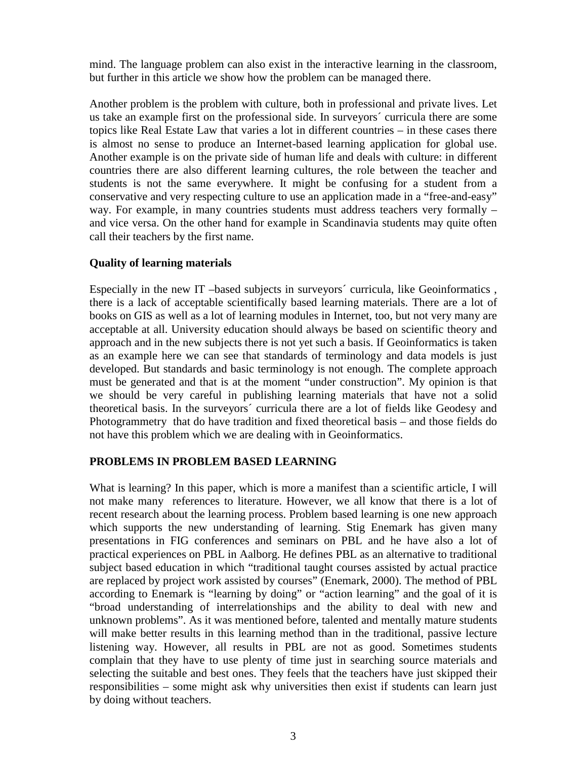mind. The language problem can also exist in the interactive learning in the classroom, but further in this article we show how the problem can be managed there.

Another problem is the problem with culture, both in professional and private lives. Let us take an example first on the professional side. In surveyors´ curricula there are some topics like Real Estate Law that varies a lot in different countries – in these cases there is almost no sense to produce an Internet-based learning application for global use. Another example is on the private side of human life and deals with culture: in different countries there are also different learning cultures, the role between the teacher and students is not the same everywhere. It might be confusing for a student from a conservative and very respecting culture to use an application made in a "free-and-easy" way. For example, in many countries students must address teachers very formally – and vice versa. On the other hand for example in Scandinavia students may quite often call their teachers by the first name.

### **Quality of learning materials**

Especially in the new IT –based subjects in surveyors´ curricula, like Geoinformatics , there is a lack of acceptable scientifically based learning materials. There are a lot of books on GIS as well as a lot of learning modules in Internet, too, but not very many are acceptable at all. University education should always be based on scientific theory and approach and in the new subjects there is not yet such a basis. If Geoinformatics is taken as an example here we can see that standards of terminology and data models is just developed. But standards and basic terminology is not enough. The complete approach must be generated and that is at the moment "under construction". My opinion is that we should be very careful in publishing learning materials that have not a solid theoretical basis. In the surveyors´ curricula there are a lot of fields like Geodesy and Photogrammetry that do have tradition and fixed theoretical basis – and those fields do not have this problem which we are dealing with in Geoinformatics.

#### **PROBLEMS IN PROBLEM BASED LEARNING**

What is learning? In this paper, which is more a manifest than a scientific article, I will not make many references to literature. However, we all know that there is a lot of recent research about the learning process. Problem based learning is one new approach which supports the new understanding of learning. Stig Enemark has given many presentations in FIG conferences and seminars on PBL and he have also a lot of practical experiences on PBL in Aalborg. He defines PBL as an alternative to traditional subject based education in which "traditional taught courses assisted by actual practice are replaced by project work assisted by courses" (Enemark, 2000). The method of PBL according to Enemark is "learning by doing" or "action learning" and the goal of it is "broad understanding of interrelationships and the ability to deal with new and unknown problems". As it was mentioned before, talented and mentally mature students will make better results in this learning method than in the traditional, passive lecture listening way. However, all results in PBL are not as good. Sometimes students complain that they have to use plenty of time just in searching source materials and selecting the suitable and best ones. They feels that the teachers have just skipped their responsibilities – some might ask why universities then exist if students can learn just by doing without teachers.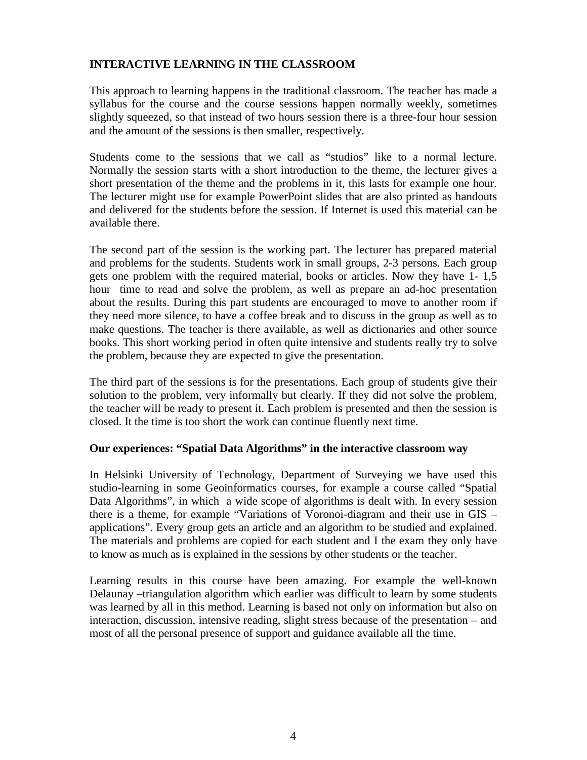# **INTERACTIVE LEARNING IN THE CLASSROOM**

This approach to learning happens in the traditional classroom. The teacher has made a syllabus for the course and the course sessions happen normally weekly, sometimes slightly squeezed, so that instead of two hours session there is a three-four hour session and the amount of the sessions is then smaller, respectively.

Students come to the sessions that we call as "studios" like to a normal lecture. Normally the session starts with a short introduction to the theme, the lecturer gives a short presentation of the theme and the problems in it, this lasts for example one hour. The lecturer might use for example PowerPoint slides that are also printed as handouts and delivered for the students before the session. If Internet is used this material can be available there.

The second part of the session is the working part. The lecturer has prepared material and problems for the students. Students work in small groups, 2-3 persons. Each group gets one problem with the required material, books or articles. Now they have 1- 1,5 hour time to read and solve the problem, as well as prepare an ad-hoc presentation about the results. During this part students are encouraged to move to another room if they need more silence, to have a coffee break and to discuss in the group as well as to make questions. The teacher is there available, as well as dictionaries and other source books. This short working period in often quite intensive and students really try to solve the problem, because they are expected to give the presentation.

The third part of the sessions is for the presentations. Each group of students give their solution to the problem, very informally but clearly. If they did not solve the problem, the teacher will be ready to present it. Each problem is presented and then the session is closed. It the time is too short the work can continue fluently next time.

#### **Our experiences: "Spatial Data Algorithms" in the interactive classroom way**

In Helsinki University of Technology, Department of Surveying we have used this studio-learning in some Geoinformatics courses, for example a course called "Spatial Data Algorithms", in which a wide scope of algorithms is dealt with. In every session there is a theme, for example "Variations of Voronoi-diagram and their use in GIS – applications". Every group gets an article and an algorithm to be studied and explained. The materials and problems are copied for each student and I the exam they only have to know as much as is explained in the sessions by other students or the teacher.

Learning results in this course have been amazing. For example the well-known Delaunay –triangulation algorithm which earlier was difficult to learn by some students was learned by all in this method. Learning is based not only on information but also on interaction, discussion, intensive reading, slight stress because of the presentation – and most of all the personal presence of support and guidance available all the time.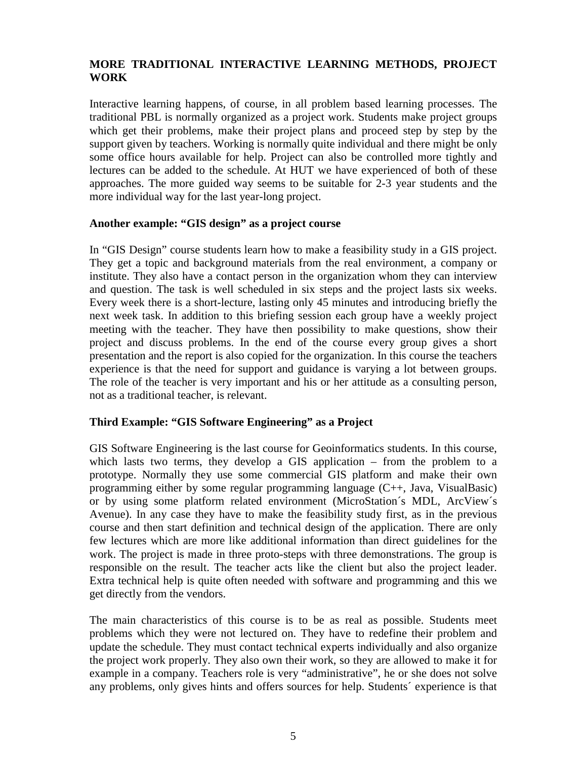# **MORE TRADITIONAL INTERACTIVE LEARNING METHODS, PROJECT WORK**

Interactive learning happens, of course, in all problem based learning processes. The traditional PBL is normally organized as a project work. Students make project groups which get their problems, make their project plans and proceed step by step by the support given by teachers. Working is normally quite individual and there might be only some office hours available for help. Project can also be controlled more tightly and lectures can be added to the schedule. At HUT we have experienced of both of these approaches. The more guided way seems to be suitable for 2-3 year students and the more individual way for the last year-long project.

#### **Another example: "GIS design" as a project course**

In "GIS Design" course students learn how to make a feasibility study in a GIS project. They get a topic and background materials from the real environment, a company or institute. They also have a contact person in the organization whom they can interview and question. The task is well scheduled in six steps and the project lasts six weeks. Every week there is a short-lecture, lasting only 45 minutes and introducing briefly the next week task. In addition to this briefing session each group have a weekly project meeting with the teacher. They have then possibility to make questions, show their project and discuss problems. In the end of the course every group gives a short presentation and the report is also copied for the organization. In this course the teachers experience is that the need for support and guidance is varying a lot between groups. The role of the teacher is very important and his or her attitude as a consulting person, not as a traditional teacher, is relevant.

# **Third Example: "GIS Software Engineering" as a Project**

GIS Software Engineering is the last course for Geoinformatics students. In this course, which lasts two terms, they develop a GIS application – from the problem to a prototype. Normally they use some commercial GIS platform and make their own programming either by some regular programming language (C++, Java, VisualBasic) or by using some platform related environment (MicroStation´s MDL, ArcView´s Avenue). In any case they have to make the feasibility study first, as in the previous course and then start definition and technical design of the application. There are only few lectures which are more like additional information than direct guidelines for the work. The project is made in three proto-steps with three demonstrations. The group is responsible on the result. The teacher acts like the client but also the project leader. Extra technical help is quite often needed with software and programming and this we get directly from the vendors.

The main characteristics of this course is to be as real as possible. Students meet problems which they were not lectured on. They have to redefine their problem and update the schedule. They must contact technical experts individually and also organize the project work properly. They also own their work, so they are allowed to make it for example in a company. Teachers role is very "administrative", he or she does not solve any problems, only gives hints and offers sources for help. Students´ experience is that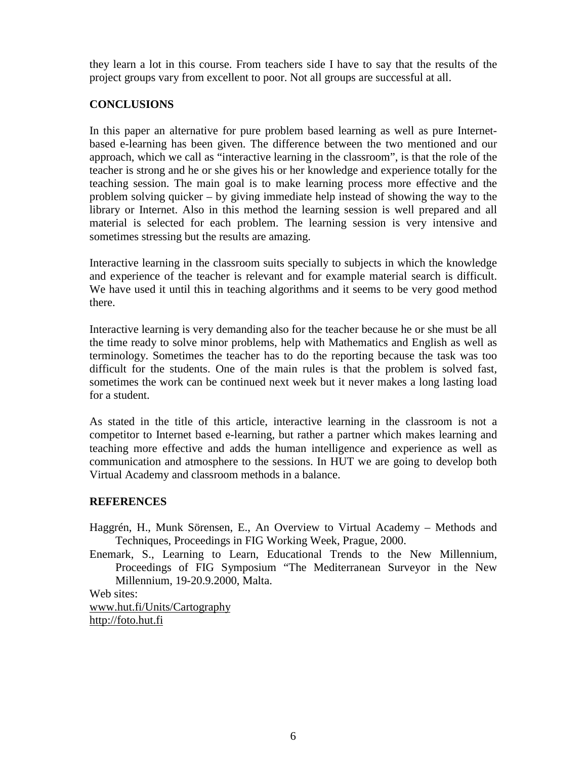they learn a lot in this course. From teachers side I have to say that the results of the project groups vary from excellent to poor. Not all groups are successful at all.

### **CONCLUSIONS**

In this paper an alternative for pure problem based learning as well as pure Internetbased e-learning has been given. The difference between the two mentioned and our approach, which we call as "interactive learning in the classroom", is that the role of the teacher is strong and he or she gives his or her knowledge and experience totally for the teaching session. The main goal is to make learning process more effective and the problem solving quicker – by giving immediate help instead of showing the way to the library or Internet. Also in this method the learning session is well prepared and all material is selected for each problem. The learning session is very intensive and sometimes stressing but the results are amazing.

Interactive learning in the classroom suits specially to subjects in which the knowledge and experience of the teacher is relevant and for example material search is difficult. We have used it until this in teaching algorithms and it seems to be very good method there.

Interactive learning is very demanding also for the teacher because he or she must be all the time ready to solve minor problems, help with Mathematics and English as well as terminology. Sometimes the teacher has to do the reporting because the task was too difficult for the students. One of the main rules is that the problem is solved fast, sometimes the work can be continued next week but it never makes a long lasting load for a student.

As stated in the title of this article, interactive learning in the classroom is not a competitor to Internet based e-learning, but rather a partner which makes learning and teaching more effective and adds the human intelligence and experience as well as communication and atmosphere to the sessions. In HUT we are going to develop both Virtual Academy and classroom methods in a balance.

# **REFERENCES**

Haggrén, H., Munk Sörensen, E., An Overview to Virtual Academy – Methods and Techniques, Proceedings in FIG Working Week, Prague, 2000.

Enemark, S., Learning to Learn, Educational Trends to the New Millennium, Proceedings of FIG Symposium "The Mediterranean Surveyor in the New Millennium, 19-20.9.2000, Malta.

Web sites: www.hut.fi/Units/Cartography http://foto.hut.fi